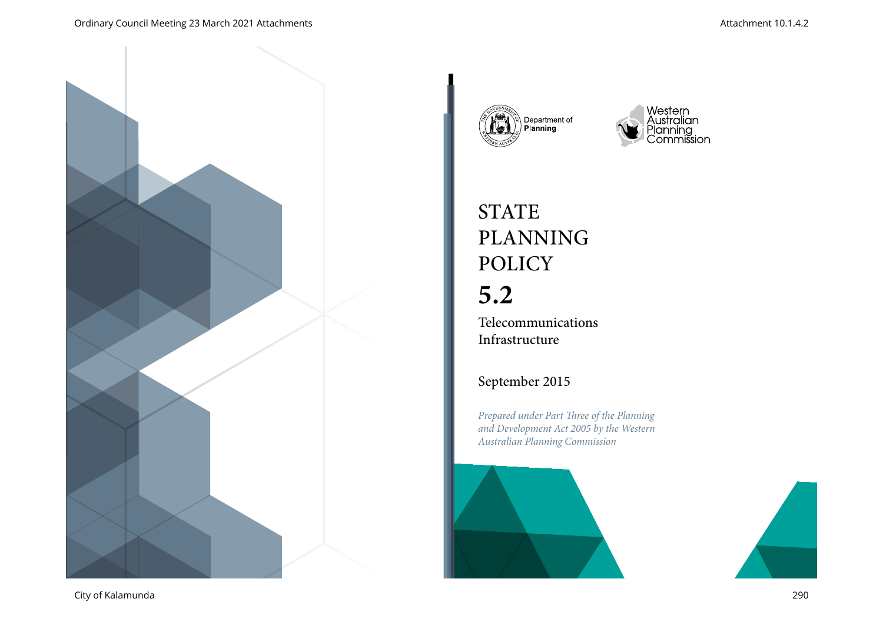





# **STATE** PLANNING POLICY

# **5.2**

Telecommunications Infrastructure

# September 2015

*Prepared under Part Three of the Planning and Development Act 2005 by the Western Australian Planning Commission*



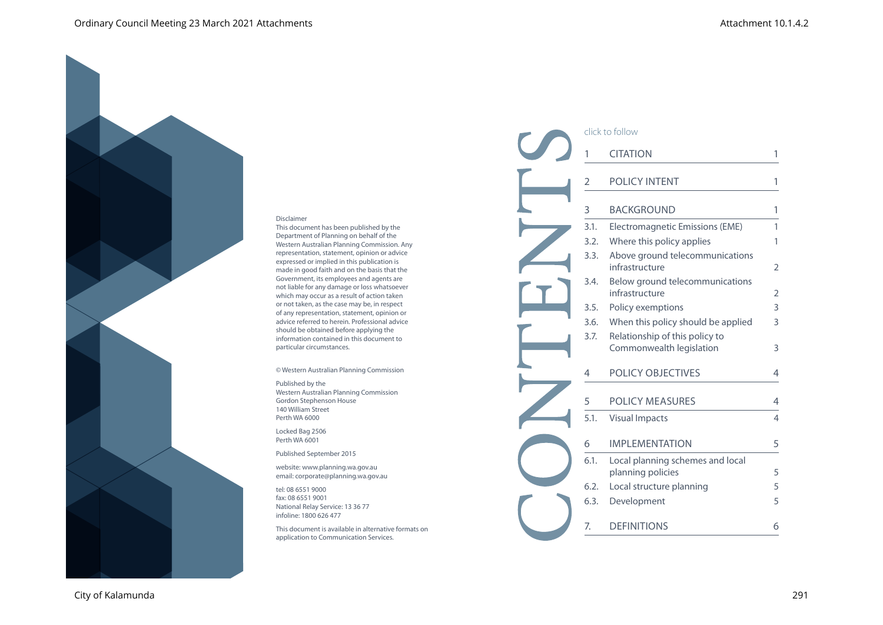#### Disclaimer

This document has been published by the Department of Planning on behalf of the Western Australian Planning Commission. Any representation, statement, opinion or advice expressed or implied in this publication is made in good faith and on the basis that the Government, its employees and agents are not liable for any damage or loss whatsoever which may occur as a result of action taken or not taken, as the case may be, in respect of any representation, statement, opinion or advice referred to herein. Professional advice should be obtained before applying the information contained in this document to particular circumstances.

© Western Australian Planning Commission

#### Published by the Western Australian Planning Commission Gordon Stephenson House 140 William Street Perth WA 6000

Locked Bag 2506 Perth WA 6001

Published September 2015

website: www.planning.wa.gov.au email: corporate@planning.wa.gov.au

tel: 08 6551 9000 fax: 08 6551 9001 National Relay Service: 13 36 77 infoline: 1800 626 477

This document is available in alternative formats on application to Communication Services.

| click to follow |                                                            |                |  |  |
|-----------------|------------------------------------------------------------|----------------|--|--|
| 1               | <b>CITATION</b>                                            | 1              |  |  |
| 2               | <b>POLICY INTENT</b>                                       | 1              |  |  |
| 3               | <b>BACKGROUND</b>                                          | 1              |  |  |
| 3.1.            | Electromagnetic Emissions (EME)                            | 1              |  |  |
| 3.2.            | Where this policy applies                                  | 1              |  |  |
| 3.3.            | Above ground telecommunications<br>infrastructure          | $\overline{2}$ |  |  |
| 3.4.            | Below ground telecommunications<br>infrastructure          | 2              |  |  |
| 3.5.            | Policy exemptions                                          | 3              |  |  |
| 3.6.            | When this policy should be applied                         | 3              |  |  |
| 3.7.            | Relationship of this policy to<br>Commonwealth legislation | 3              |  |  |
| 4               | <b>POLICY OBJECTIVES</b>                                   | 4              |  |  |
| 5               | POLICY MEASURES                                            | 4              |  |  |
| 5.1.            | <b>Visual Impacts</b>                                      | 4              |  |  |
| 6               | <b>IMPLEMENTATION</b>                                      | 5              |  |  |
| 6.1.            | Local planning schemes and local<br>planning policies      | 5              |  |  |
| 6.2.            | Local structure planning                                   | 5              |  |  |
| 6.3.            | Development                                                | 5              |  |  |
| 7.              | <b>DEFINITIONS</b>                                         | 6              |  |  |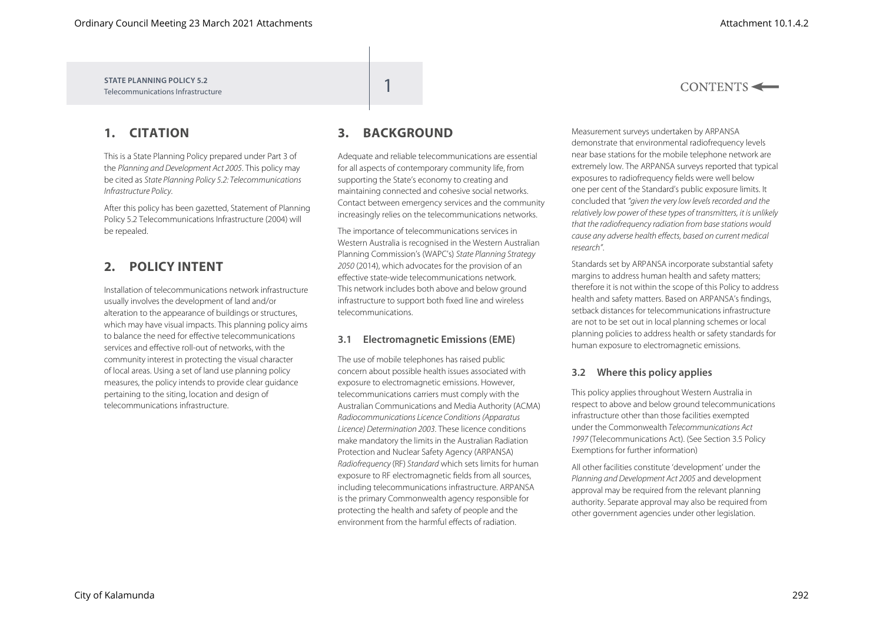$CONTENTS \leftarrow$ 

**STATE PLANNING POLICY 5.2** Telecommunications Infrastructure

# **1. CITATION**

This is a State Planning Policy prepared under Part 3 of the *Planning and Development Act 2005*. This policy may be cited as *State Planning Policy 5.2: Telecommunications Infrastructure Policy*.

After this policy has been gazetted, Statement of Planning Policy 5.2 Telecommunications Infrastructure (2004) will be repealed.

## **2. POLICY INTENT**

Installation of telecommunications network infrastructure usually involves the development of land and/or alteration to the appearance of buildings or structures, which may have visual impacts. This planning policy aims to balance the need for effective telecommunications services and effective roll-out of networks, with the community interest in protecting the visual character of local areas. Using a set of land use planning policy measures, the policy intends to provide clear guidance pertaining to the siting, location and design of telecommunications infrastructure.

# **3. BACKGROUND**

Adequate and reliable telecommunications are essential for all aspects of contemporary community life, from supporting the State's economy to creating and maintaining connected and cohesive social networks. Contact between emergency services and the community increasingly relies on the telecommunications networks.

The importance of telecommunications services in Western Australia is recognised in the Western Australian Planning Commission's (WAPC's) *State Planning Strategy 2050* (2014), which advocates for the provision of an effective state-wide telecommunications network. This network includes both above and below ground infrastructure to support both fixed line and wireless telecommunications.

### **3.1 Electromagnetic Emissions (EME)**

The use of mobile telephones has raised public concern about possible health issues associated with exposure to electromagnetic emissions. However, telecommunications carriers must comply with the Australian Communications and Media Authority (ACMA) *Radiocommunications Licence Conditions (Apparatus Licence) Determination 2003*. These licence conditions make mandatory the limits in the Australian Radiation Protection and Nuclear Safety Agency (ARPANSA) *Radiofrequency* (RF) *Standard* which sets limits for human exposure to RF electromagnetic fields from all sources, including telecommunications infrastructure. ARPANSA is the primary Commonwealth agency responsible for protecting the health and safety of people and the environment from the harmful effects of radiation.

Measurement surveys undertaken by ARPANSA demonstrate that environmental radiofrequency levels near base stations for the mobile telephone network are extremely low. The ARPANSA surveys reported that typical exposures to radiofrequency fields were well below one per cent of the Standard's public exposure limits. It concluded that *"given the very low levels recorded and the relatively low power of these types of transmitters, it is unlikely that the radiofrequency radiation from base stations would cause any adverse health effects, based on current medical research"*.

Standards set by ARPANSA incorporate substantial safety margins to address human health and safety matters; therefore it is not within the scope of this Policy to address health and safety matters. Based on ARPANSA's findings, setback distances for telecommunications infrastructure are not to be set out in local planning schemes or local planning policies to address health or safety standards for human exposure to electromagnetic emissions.

### **3.2 Where this policy applies**

This policy applies throughout Western Australia in respect to above and below ground telecommunications infrastructure other than those facilities exempted under the Commonwealth *Telecommunications Act 1997* (Telecommunications Act). (See Section 3.5 Policy Exemptions for further information)

All other facilities constitute 'development' under the *Planning and Development Act 2005* and development approval may be required from the relevant planning authority. Separate approval may also be required from other government agencies under other legislation.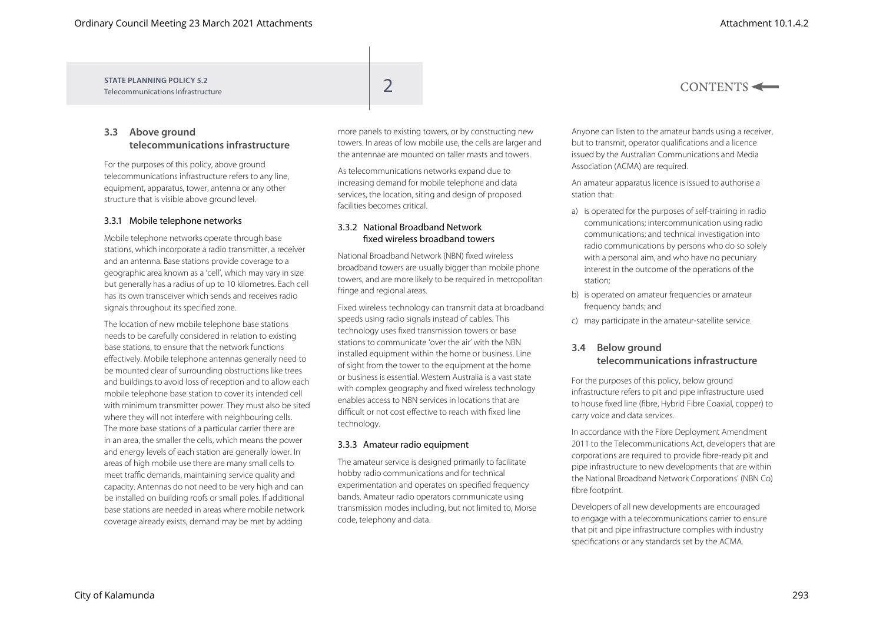#### **STATE PLANNING POLICY 5.2** STATE PLANNING POLICY 5.2<br>Telecommunications Infrastructure

## **3.3 Above ground telecommunications infrastructure**

For the purposes of this policy, above ground telecommunications infrastructure refers to any line, equipment, apparatus, tower, antenna or any other structure that is visible above ground level.

#### 3.3.1 Mobile telephone networks

Mobile telephone networks operate through base stations, which incorporate a radio transmitter, a receiver and an antenna. Base stations provide coverage to a geographic area known as a 'cell', which may vary in size but generally has a radius of up to 10 kilometres. Each cell has its own transceiver which sends and receives radio signals throughout its specified zone.

The location of new mobile telephone base stations needs to be carefully considered in relation to existing base stations, to ensure that the network functions effectively. Mobile telephone antennas generally need to be mounted clear of surrounding obstructions like trees and buildings to avoid loss of reception and to allow each mobile telephone base station to cover its intended cell with minimum transmitter power. They must also be sited where they will not interfere with neighbouring cells. The more base stations of a particular carrier there are in an area, the smaller the cells, which means the power and energy levels of each station are generally lower. In areas of high mobile use there are many small cells to meet traffic demands, maintaining service quality and capacity. Antennas do not need to be very high and can be installed on building roofs or small poles. If additional base stations are needed in areas where mobile network coverage already exists, demand may be met by adding

more panels to existing towers, or by constructing new towers. In areas of low mobile use, the cells are larger and the antennae are mounted on taller masts and towers.

As telecommunications networks expand due to increasing demand for mobile telephone and data services, the location, siting and design of proposed facilities becomes critical.

#### 3.3.2 National Broadband Network fixed wireless broadband towers

National Broadband Network (NBN) fixed wireless broadband towers are usually bigger than mobile phone towers, and are more likely to be required in metropolitan fringe and regional areas.

Fixed wireless technology can transmit data at broadband speeds using radio signals instead of cables. This technology uses fixed transmission towers or base stations to communicate 'over the air' with the NBN installed equipment within the home or business. Line of sight from the tower to the equipment at the home or business is essential. Western Australia is a vast state with complex geography and fixed wireless technology enables access to NBN services in locations that are difficult or not cost effective to reach with fixed line technology.

#### 3.3.3 Amateur radio equipment

The amateur service is designed primarily to facilitate hobby radio communications and for technical experimentation and operates on specified frequency bands. Amateur radio operators communicate using transmission modes including, but not limited to, Morse code, telephony and data.

Anyone can listen to the amateur bands using a receiver, but to transmit, operator qualifications and a licence issued by the Australian Communications and Media Association (ACMA) are required.

An amateur apparatus licence is issued to authorise a station that:

- a) is operated for the purposes of self-training in radio communications; intercommunication using radio communications; and technical investigation into radio communications by persons who do so solely with a personal aim, and who have no pecuniary interest in the outcome of the operations of the station;
- b) is operated on amateur frequencies or amateur frequency bands; and
- c) may participate in the amateur-satellite service.

#### **3.4 Below ground telecommunications infrastructure**

For the purposes of this policy, below ground infrastructure refers to pit and pipe infrastructure used to house fixed line (fibre, Hybrid Fibre Coaxial, copper) to carry voice and data services.

In accordance with the Fibre Deployment Amendment 2011 to the Telecommunications Act, developers that are corporations are required to provide fibre-ready pit and pipe infrastructure to new developments that are within the National Broadband Network Corporations' (NBN Co) fibre footprint.

Developers of all new developments are encouraged to engage with a telecommunications carrier to ensure that pit and pipe infrastructure complies with industry specifications or any standards set by the ACMA.

## $CONTENTS \leftarrow$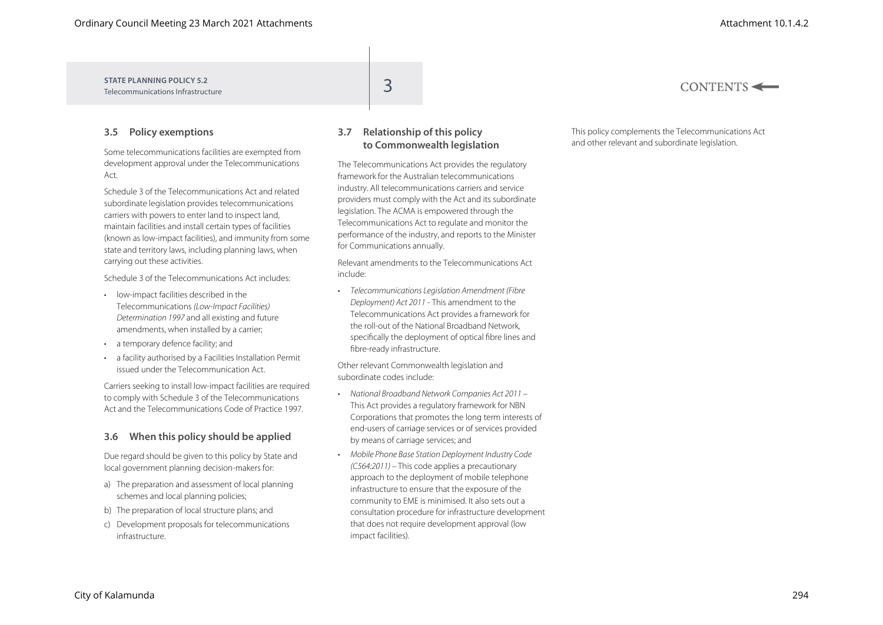| STATE PLANNING POLICY 5.2<br>Telecommunications Infrastructure | - | CONTENTS |
|----------------------------------------------------------------|---|----------|
|                                                                |   |          |

### **3.5 Policy exemptions**

Some telecommunications facilities are exempted from development approval under the Telecommunications Act.

Schedule 3 of the Telecommunications Act and related subordinate legislation provides telecommunications carriers with powers to enter land to inspect land, maintain facilities and install certain types of facilities (known as low-impact facilities), and immunity from some state and territory laws, including planning laws, when carrying out these activities.

Schedule 3 of the Telecommunications Act includes:

- low-impact facilities described in the Telecommunications *(Low-Impact Facilities) Determination 1997* and all existing and future amendments, when installed by a carrier;
- a temporary defence facility; and
- a facility authorised by a Facilities Installation Permit issued under the Telecommunication Act.

Carriers seeking to install low-impact facilities are required to comply with Schedule 3 of the Telecommunications Act and the Telecommunications Code of Practice 1997.

#### **3.6 When this policy should be applied**

Due regard should be given to this policy by State and local government planning decision-makers for:

- a) The preparation and assessment of local planning schemes and local planning policies;
- b) The preparation of local structure plans; and
- c) Development proposals for telecommunications infrastructure.

### **3.7 Relationship of this policy to Commonwealth legislation**

The Telecommunications Act provides the regulatory framework for the Australian telecommunications industry. All telecommunications carriers and service providers must comply with the Act and its subordinate legislation. The ACMA is empowered through the Telecommunications Act to regulate and monitor the performance of the industry, and reports to the Minister for Communications annually.

Relevant amendments to the Telecommunications Act include:

• *Telecommunications Legislation Amendment (Fibre Deployment) Act 2011* - This amendment to the Telecommunications Act provides a framework for the roll-out of the National Broadband Network, specifically the deployment of optical fibre lines and fibre-ready infrastructure.

Other relevant Commonwealth legislation and subordinate codes include:

- *National Broadband Network Companies Act 2011*  This Act provides a regulatory framework for NBN Corporations that promotes the long term interests of end-users of carriage services or of services provided by means of carriage services; and
- *Mobile Phone Base Station Deployment Industry Code (C564:2011) –* This code applies a precautionary approach to the deployment of mobile telephone infrastructure to ensure that the exposure of the community to EME is minimised. It also sets out a consultation procedure for infrastructure development that does not require development approval (low impact facilities).

This policy complements the Telecommunications Act and other relevant and subordinate legislation.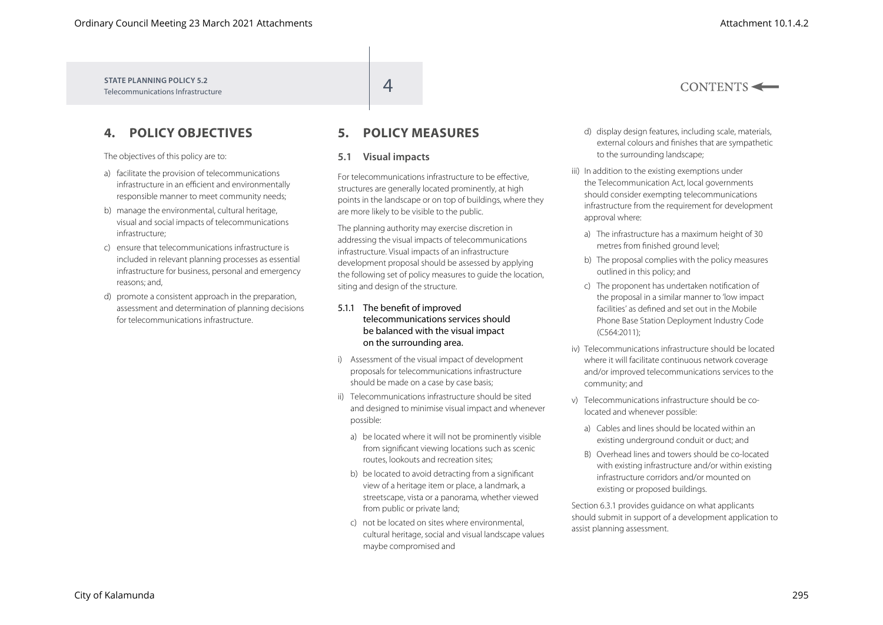$CONTENTS \leftarrow$ 

**STATE PLANNING POLICY 5.2** STATE PLANNING POLICY 5.2<br>Telecommunications Infrastructure

# **4. POLICY OBJECTIVES**

The objectives of this policy are to:

- a) facilitate the provision of telecommunications infrastructure in an efficient and environmentally responsible manner to meet community needs;
- b) manage the environmental, cultural heritage, visual and social impacts of telecommunications infrastructure;
- c) ensure that telecommunications infrastructure is included in relevant planning processes as essential infrastructure for business, personal and emergency reasons; and,
- d) promote a consistent approach in the preparation, assessment and determination of planning decisions for telecommunications infrastructure.

# **5. POLICY MEASURES**

#### **5.1 Visual impacts**

For telecommunications infrastructure to be effective, structures are generally located prominently, at high points in the landscape or on top of buildings, where they are more likely to be visible to the public.

The planning authority may exercise discretion in addressing the visual impacts of telecommunications infrastructure. Visual impacts of an infrastructure development proposal should be assessed by applying the following set of policy measures to guide the location, siting and design of the structure.

#### 5.1.1 The benefit of improved telecommunications services should be balanced with the visual impact on the surrounding area.

- i) Assessment of the visual impact of development proposals for telecommunications infrastructure should be made on a case by case basis;
- ii) Telecommunications infrastructure should be sited and designed to minimise visual impact and whenever possible:
	- a) be located where it will not be prominently visible from significant viewing locations such as scenic routes, lookouts and recreation sites;
	- b) be located to avoid detracting from a significant view of a heritage item or place, a landmark, a streetscape, vista or a panorama, whether viewed from public or private land:
	- c) not be located on sites where environmental, cultural heritage, social and visual landscape values maybe compromised and
- d) display design features, including scale, materials, external colours and finishes that are sympathetic to the surrounding landscape;
- iii) In addition to the existing exemptions under the Telecommunication Act, local governments should consider exempting telecommunications infrastructure from the requirement for development approval where:
	- a) The infrastructure has a maximum height of 30 metres from finished ground level;
	- b) The proposal complies with the policy measures outlined in this policy; and
	- c) The proponent has undertaken notification of the proposal in a similar manner to 'low impact facilities' as defined and set out in the Mobile Phone Base Station Deployment Industry Code (C564:2011);
- iv) Telecommunications infrastructure should be located where it will facilitate continuous network coverage and/or improved telecommunications services to the community; and
- v) Telecommunications infrastructure should be colocated and whenever possible:
	- a) Cables and lines should be located within an existing underground conduit or duct; and
	- B) Overhead lines and towers should be co-located with existing infrastructure and/or within existing infrastructure corridors and/or mounted on existing or proposed buildings.

Section 6.3.1 provides guidance on what applicants should submit in support of a development application to assist planning assessment.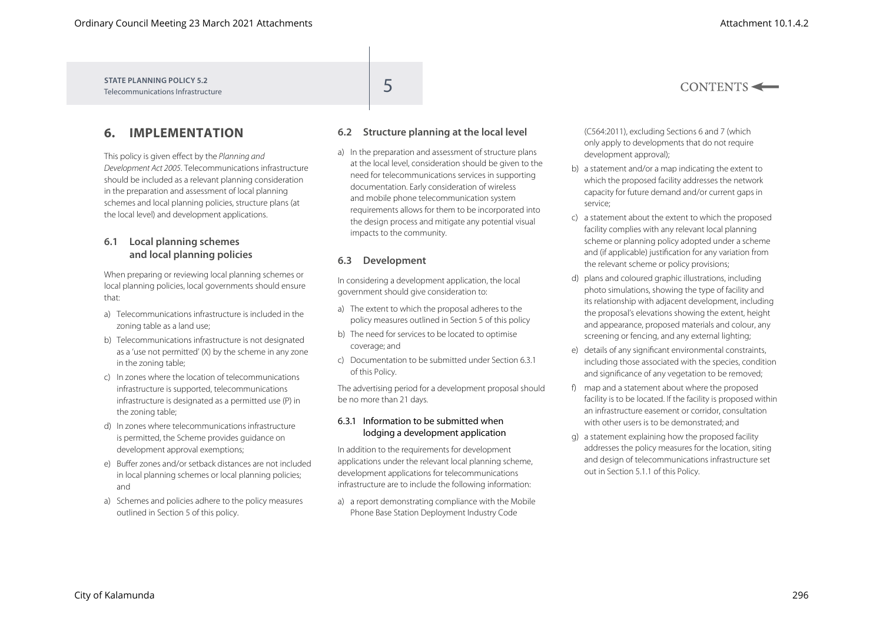**STATE PLANNING POLICY 5.2** STATE PLANNING POLICY 5.2<br>Telecommunications Infrastructure

# **6. IMPLEMENTATION**

This policy is given effect by the *Planning and Development Act 2005*. Telecommunications infrastructure should be included as a relevant planning consideration in the preparation and assessment of local planning schemes and local planning policies, structure plans (at the local level) and development applications.

### **6.1 Local planning schemes and local planning policies**

When preparing or reviewing local planning schemes or local planning policies, local governments should ensure that:

- a) Telecommunications infrastructure is included in the zoning table as a land use;
- b) Telecommunications infrastructure is not designated as a 'use not permitted' (X) by the scheme in any zone in the zoning table;
- c) In zones where the location of telecommunications infrastructure is supported, telecommunications infrastructure is designated as a permitted use (P) in the zoning table;
- d) In zones where telecommunications infrastructure is permitted, the Scheme provides guidance on development approval exemptions;
- e) Buffer zones and/or setback distances are not included in local planning schemes or local planning policies; and
- a) Schemes and policies adhere to the policy measures outlined in Section 5 of this policy.

## **6.2 Structure planning at the local level**

a) In the preparation and assessment of structure plans at the local level, consideration should be given to the need for telecommunications services in supporting documentation. Early consideration of wireless and mobile phone telecommunication system requirements allows for them to be incorporated into the design process and mitigate any potential visual impacts to the community.

#### **6.3 Development**

In considering a development application, the local government should give consideration to:

- a) The extent to which the proposal adheres to the policy measures outlined in Section 5 of this policy
- b) The need for services to be located to optimise coverage; and
- c) Documentation to be submitted under Section 6.3.1 of this Policy.

The advertising period for a development proposal should be no more than 21 days.

#### 6.3.1 Information to be submitted when lodging a development application

In addition to the requirements for development applications under the relevant local planning scheme, development applications for telecommunications infrastructure are to include the following information:

a) a report demonstrating compliance with the Mobile Phone Base Station Deployment Industry Code

(C564:2011), excluding Sections 6 and 7 (which only apply to developments that do not require development approval);

- b) a statement and/or a map indicating the extent to which the proposed facility addresses the network capacity for future demand and/or current gaps in service;
- c) a statement about the extent to which the proposed facility complies with any relevant local planning scheme or planning policy adopted under a scheme and (if applicable) justification for any variation from the relevant scheme or policy provisions;
- d) plans and coloured graphic illustrations, including photo simulations, showing the type of facility and its relationship with adjacent development, including the proposal's elevations showing the extent, height and appearance, proposed materials and colour, any screening or fencing, and any external lighting;
- e) details of any significant environmental constraints, including those associated with the species, condition and significance of any vegetation to be removed;
- f) map and a statement about where the proposed facility is to be located. If the facility is proposed within an infrastructure easement or corridor, consultation with other users is to be demonstrated; and
- g) a statement explaining how the proposed facility addresses the policy measures for the location, siting and design of telecommunications infrastructure set out in Section 5.1.1 of this Policy.

 $CONTENTS \leftarrow$